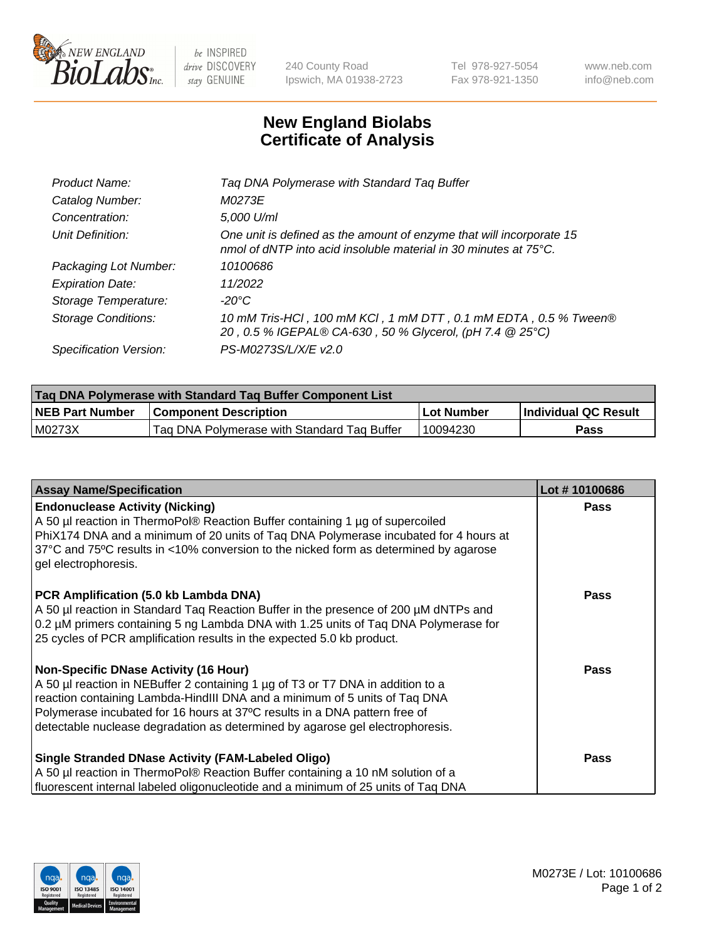

 $be$  INSPIRED drive DISCOVERY stay GENUINE

240 County Road Ipswich, MA 01938-2723 Tel 978-927-5054 Fax 978-921-1350 www.neb.com info@neb.com

## **New England Biolabs Certificate of Analysis**

| Product Name:              | Tag DNA Polymerase with Standard Tag Buffer                                                                                              |
|----------------------------|------------------------------------------------------------------------------------------------------------------------------------------|
| Catalog Number:            | M0273E                                                                                                                                   |
| Concentration:             | 5,000 U/ml                                                                                                                               |
| Unit Definition:           | One unit is defined as the amount of enzyme that will incorporate 15<br>nmol of dNTP into acid insoluble material in 30 minutes at 75°C. |
| Packaging Lot Number:      | 10100686                                                                                                                                 |
| <b>Expiration Date:</b>    | 11/2022                                                                                                                                  |
| Storage Temperature:       | $-20^{\circ}$ C                                                                                                                          |
| <b>Storage Conditions:</b> | 10 mM Tris-HCl, 100 mM KCl, 1 mM DTT, 0.1 mM EDTA, 0.5 % Tween®<br>20, 0.5 % IGEPAL® CA-630, 50 % Glycerol, (pH 7.4 @ 25°C)              |
| Specification Version:     | PS-M0273S/L/X/E v2.0                                                                                                                     |

| Tag DNA Polymerase with Standard Tag Buffer Component List |                                             |            |                      |  |
|------------------------------------------------------------|---------------------------------------------|------------|----------------------|--|
| <b>NEB Part Number</b>                                     | <b>Component Description</b>                | Lot Number | Individual QC Result |  |
| M0273X                                                     | Tag DNA Polymerase with Standard Tag Buffer | 10094230   | Pass                 |  |

| <b>Assay Name/Specification</b>                                                                                                                                                                                                                                                                                                                                              | Lot #10100686 |
|------------------------------------------------------------------------------------------------------------------------------------------------------------------------------------------------------------------------------------------------------------------------------------------------------------------------------------------------------------------------------|---------------|
| <b>Endonuclease Activity (Nicking)</b><br>A 50 µl reaction in ThermoPol® Reaction Buffer containing 1 µg of supercoiled<br>PhiX174 DNA and a minimum of 20 units of Taq DNA Polymerase incubated for 4 hours at<br>37°C and 75°C results in <10% conversion to the nicked form as determined by agarose<br>gel electrophoresis.                                              | <b>Pass</b>   |
| PCR Amplification (5.0 kb Lambda DNA)<br>A 50 µl reaction in Standard Taq Reaction Buffer in the presence of 200 µM dNTPs and<br>0.2 µM primers containing 5 ng Lambda DNA with 1.25 units of Taq DNA Polymerase for<br>25 cycles of PCR amplification results in the expected 5.0 kb product.                                                                               | <b>Pass</b>   |
| <b>Non-Specific DNase Activity (16 Hour)</b><br>A 50 µl reaction in NEBuffer 2 containing 1 µg of T3 or T7 DNA in addition to a<br>reaction containing Lambda-HindIII DNA and a minimum of 5 units of Taq DNA<br>Polymerase incubated for 16 hours at 37°C results in a DNA pattern free of<br>detectable nuclease degradation as determined by agarose gel electrophoresis. | <b>Pass</b>   |
| <b>Single Stranded DNase Activity (FAM-Labeled Oligo)</b><br>A 50 µl reaction in ThermoPol® Reaction Buffer containing a 10 nM solution of a<br>fluorescent internal labeled oligonucleotide and a minimum of 25 units of Taq DNA                                                                                                                                            | <b>Pass</b>   |